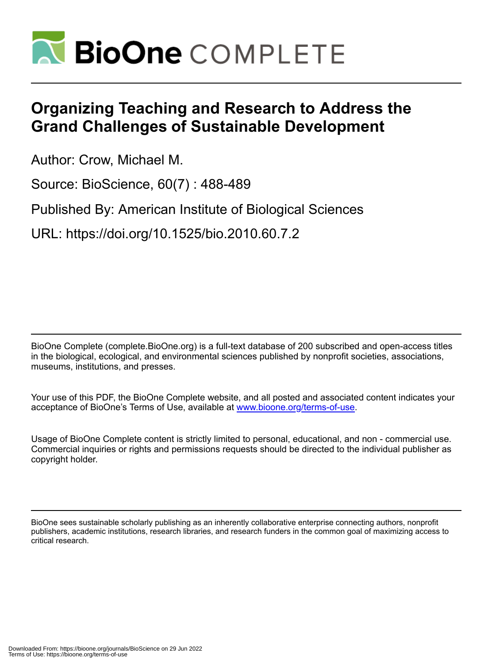

## **Organizing Teaching and Research to Address the Grand Challenges of Sustainable Development**

Author: Crow, Michael M.

Source: BioScience, 60(7) : 488-489

Published By: American Institute of Biological Sciences

URL: https://doi.org/10.1525/bio.2010.60.7.2

BioOne Complete (complete.BioOne.org) is a full-text database of 200 subscribed and open-access titles in the biological, ecological, and environmental sciences published by nonprofit societies, associations, museums, institutions, and presses.

Your use of this PDF, the BioOne Complete website, and all posted and associated content indicates your acceptance of BioOne's Terms of Use, available at www.bioone.org/terms-of-use.

Usage of BioOne Complete content is strictly limited to personal, educational, and non - commercial use. Commercial inquiries or rights and permissions requests should be directed to the individual publisher as copyright holder.

BioOne sees sustainable scholarly publishing as an inherently collaborative enterprise connecting authors, nonprofit publishers, academic institutions, research libraries, and research funders in the common goal of maximizing access to critical research.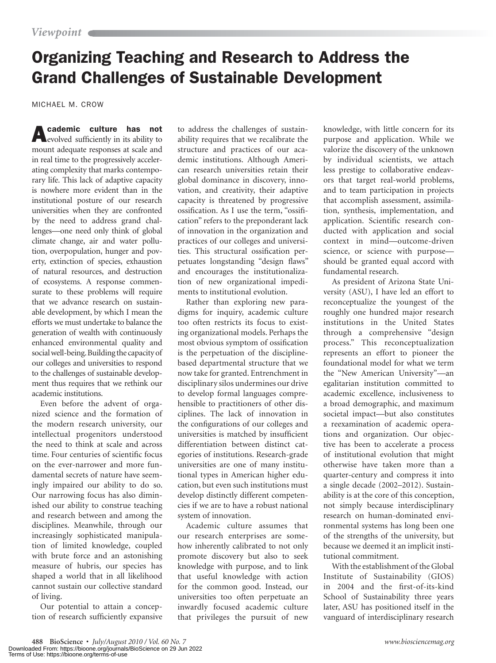## Organizing Teaching and Research to Address the Grand Challenges of Sustainable Development

MICHAEL M. CROW

Academic culture has not evolved sufficiently in its ability to mount adequate responses at scale and in real time to the progressively accelerating complexity that marks contemporary life. This lack of adaptive capacity is nowhere more evident than in the institutional posture of our research universities when they are confronted by the need to address grand challenges—one need only think of global climate change, air and water pollution, overpopulation, hunger and poverty, extinction of species, exhaustion of natural resources, and destruction of ecosystems. A response commensurate to these problems will require that we advance research on sustainable development, by which I mean the efforts we must undertake to balance the generation of wealth with continuously enhanced environmental quality and social well-being. Building the capacity of our colleges and universities to respond to the challenges of sustainable development thus requires that we rethink our academic institutions.

Even before the advent of organized science and the formation of the modern research university, our intellectual progenitors understood the need to think at scale and across time. Four centuries of scientific focus on the ever-narrower and more fundamental secrets of nature have seemingly impaired our ability to do so. Our narrowing focus has also diminished our ability to construe teaching and research between and among the disciplines. Meanwhile, through our increasingly sophisticated manipulation of limited knowledge, coupled with brute force and an astonishing measure of hubris, our species has shaped a world that in all likelihood cannot sustain our collective standard of living.

Our potential to attain a conception of research sufficiently expansive to address the challenges of sustainability requires that we recalibrate the structure and practices of our academic institutions. Although American research universities retain their global dominance in discovery, innovation, and creativity, their adaptive capacity is threatened by progressive ossification. As I use the term, "ossification" refers to the preponderant lack of innovation in the organization and practices of our colleges and universities. This structural ossification perpetuates longstanding "design flaws" and encourages the institutionalization of new organizational impediments to institutional evolution.

Rather than exploring new paradigms for inquiry, academic culture too often restricts its focus to existing organizational models. Perhaps the most obvious symptom of ossification is the perpetuation of the disciplinebased departmental structure that we now take for granted. Entrenchment in disciplinary silos undermines our drive to develop formal languages comprehensible to practitioners of other disciplines. The lack of innovation in the configurations of our colleges and universities is matched by insufficient differentiation between distinct categories of institutions. Research-grade universities are one of many institutional types in American higher education, but even such institutions must develop distinctly different competencies if we are to have a robust national system of innovation.

Academic culture assumes that our research enterprises are somehow inherently calibrated to not only promote discovery but also to seek knowledge with purpose, and to link that useful knowledge with action for the common good. Instead, our universities too often perpetuate an inwardly focused academic culture that privileges the pursuit of new

knowledge, with little concern for its purpose and application. While we valorize the discovery of the unknown by individual scientists, we attach less prestige to collaborative endeavors that target real-world problems, and to team participation in projects that accomplish assessment, assimilation, synthesis, implementation, and application. Scientific research conducted with application and social context in mind—outcome-driven science, or science with purpose should be granted equal accord with fundamental research.

As president of Arizona State University (ASU), I have led an effort to reconceptualize the youngest of the roughly one hundred major research institutions in the United States through a comprehensive "design process." This reconceptualization represents an effort to pioneer the foundational model for what we term the "New American University"—an egalitarian institution committed to academic excellence, inclusiveness to a broad demographic, and maximum societal impact—but also constitutes a reexamination of academic operations and organization. Our objective has been to accelerate a process of institutional evolution that might otherwise have taken more than a quarter-century and compress it into a single decade (2002–2012). Sustainability is at the core of this conception, not simply because interdisciplinary research on human-dominated environmental systems has long been one of the strengths of the university, but because we deemed it an implicit institutional commitment.

With the establishment of the Global Institute of Sustainability (GIOS) in 2004 and the first-of-its-kind School of Sustainability three years later, ASU has positioned itself in the vanguard of interdisciplinary research